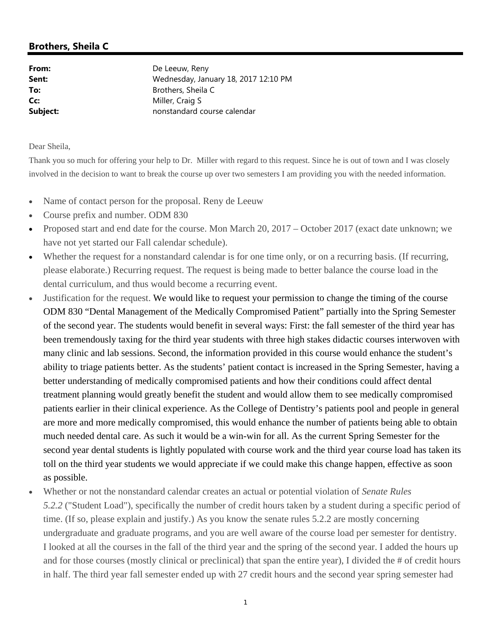## **Brothers, Sheila C**

From: De Leeuw, Reny **Sent:** Wednesday, January 18, 2017 12:10 PM **To:** Brothers, Sheila C **Cc:** Miller, Craig S **Subject: nonstandard course calendar** 

Dear Sheila,

Thank you so much for offering your help to Dr. Miller with regard to this request. Since he is out of town and I was closely involved in the decision to want to break the course up over two semesters I am providing you with the needed information.

- Name of contact person for the proposal. Reny de Leeuw
- Course prefix and number. ODM 830
- Proposed start and end date for the course. Mon March 20, 2017 October 2017 (exact date unknown; we have not yet started our Fall calendar schedule).
- Whether the request for a nonstandard calendar is for one time only, or on a recurring basis. (If recurring, please elaborate.) Recurring request. The request is being made to better balance the course load in the dental curriculum, and thus would become a recurring event.
- Justification for the request. We would like to request your permission to change the timing of the course ODM 830 "Dental Management of the Medically Compromised Patient" partially into the Spring Semester of the second year. The students would benefit in several ways: First: the fall semester of the third year has been tremendously taxing for the third year students with three high stakes didactic courses interwoven with many clinic and lab sessions. Second, the information provided in this course would enhance the student's ability to triage patients better. As the students' patient contact is increased in the Spring Semester, having a better understanding of medically compromised patients and how their conditions could affect dental treatment planning would greatly benefit the student and would allow them to see medically compromised patients earlier in their clinical experience. As the College of Dentistry's patients pool and people in general are more and more medically compromised, this would enhance the number of patients being able to obtain much needed dental care. As such it would be a win-win for all. As the current Spring Semester for the second year dental students is lightly populated with course work and the third year course load has taken its toll on the third year students we would appreciate if we could make this change happen, effective as soon as possible.
- Whether or not the nonstandard calendar creates an actual or potential violation of *Senate Rules 5.2.2* ("Student Load"), specifically the number of credit hours taken by a student during a specific period of time. (If so, please explain and justify.) As you know the senate rules 5.2.2 are mostly concerning undergraduate and graduate programs, and you are well aware of the course load per semester for dentistry. I looked at all the courses in the fall of the third year and the spring of the second year. I added the hours up and for those courses (mostly clinical or preclinical) that span the entire year), I divided the # of credit hours in half. The third year fall semester ended up with 27 credit hours and the second year spring semester had